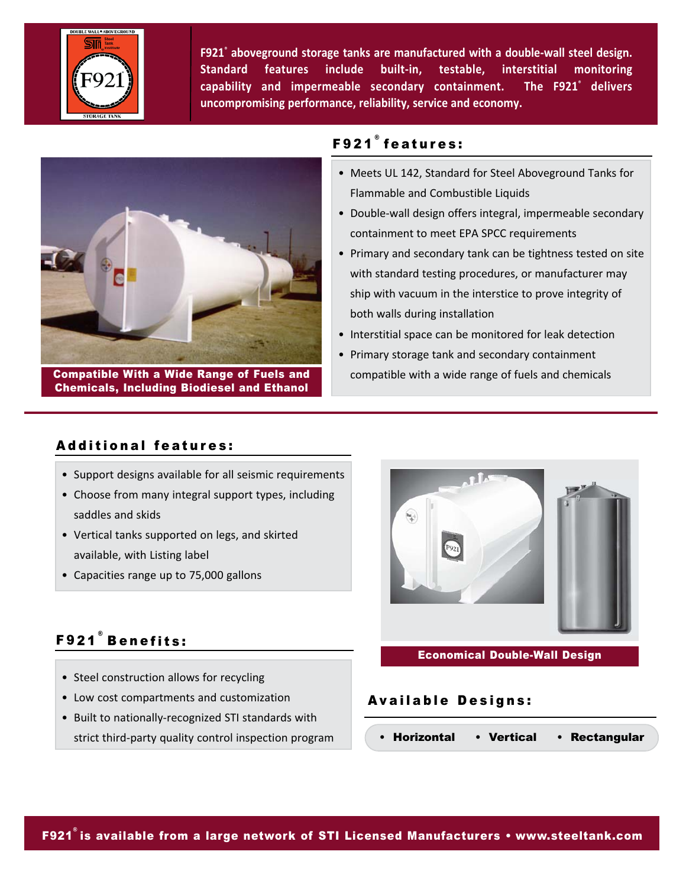

**F921® aboveground storage tanks are manufactured with a double‐wall steel design. Standard features include built‐in, testable, interstitial monitoring capability and impermeable secondary containment. The F921® delivers uncompromising performance, reliability, service and economy.**



Compatible With a Wide Range of Fuels and Chemicals, Including Biodiesel and Ethanol

## F921 ® features:

- Meets UL 142, Standard for Steel Aboveground Tanks for Flammable and Combustible Liquids
- Double‐wall design offers integral, impermeable secondary containment to meet EPA SPCC requirements
- Primary and secondary tank can be tightness tested on site with standard testing procedures, or manufacturer may ship with vacuum in the interstice to prove integrity of both walls during installation
- Interstitial space can be monitored for leak detection
- Primary storage tank and secondary containment compatible with a wide range of fuels and chemicals

## Additional features:

- Support designs available for all seismic requirements
- Choose from many integral support types, including saddles and skids
- Vertical tanks supported on legs, and skirted available, with Listing label
- Capacities range up to 75,000 gallons

# F921 ® Benefits:

- Steel construction allows for recycling
- Low cost compartments and customization
- Built to nationally‐recognized STI standards with strict third‐party quality control inspection program



## Economical Double-Wall Design

## Available Designs:

• Horizontal • Vertical • Rectangular